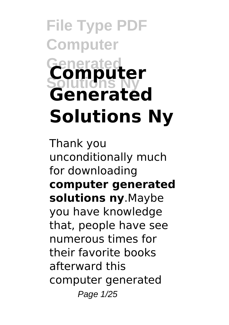# **File Type PDF Computer Generated Solutions Ny Computer Generated Solutions Ny**

Thank you unconditionally much for downloading **computer generated solutions ny**.Maybe you have knowledge that, people have see numerous times for their favorite books afterward this computer generated Page 1/25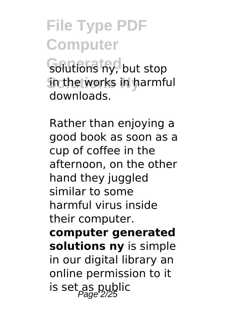**Golutions ny, but stop** in the works in harmful downloads.

Rather than enjoying a good book as soon as a cup of coffee in the afternoon, on the other hand they juggled similar to some harmful virus inside their computer. **computer generated solutions ny** is simple in our digital library an online permission to it is set as public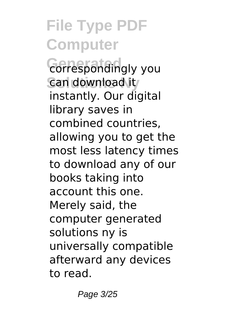**Correspondingly you Can download it** instantly. Our digital library saves in combined countries, allowing you to get the most less latency times to download any of our books taking into account this one. Merely said, the computer generated solutions ny is universally compatible afterward any devices to read.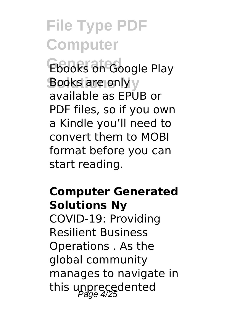Ebooks on Google Play **Books are only** y available as EPUB or PDF files, so if you own a Kindle you'll need to convert them to MOBI format before you can start reading.

#### **Computer Generated Solutions Ny**

COVID-19: Providing Resilient Business Operations . As the global community manages to navigate in this unprecedented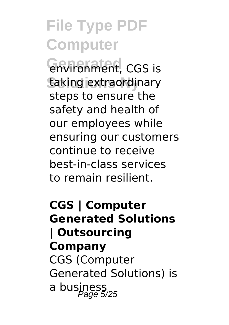**Gnvironment**, CGS is taking extraordinary steps to ensure the safety and health of our employees while ensuring our customers continue to receive best-in-class services to remain resilient.

### **CGS | Computer Generated Solutions | Outsourcing Company** CGS (Computer Generated Solutions) is a business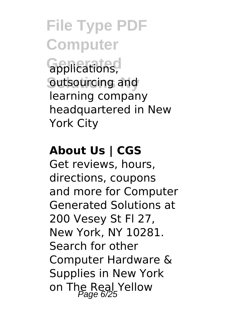**Gpplications**, outsourcing and learning company headquartered in New York City

#### **About Us | CGS**

Get reviews, hours, directions, coupons and more for Computer Generated Solutions at 200 Vesey St Fl 27, New York, NY 10281. Search for other Computer Hardware & Supplies in New York on The Real Yellow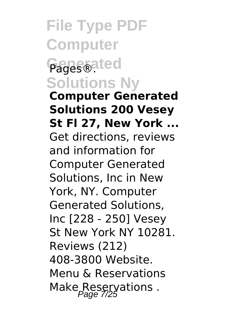**File Type PDF Computer** Pages<sup>®ated</sup> **Solutions Ny Computer Generated Solutions 200 Vesey St Fl 27, New York ...** Get directions, reviews and information for Computer Generated Solutions, Inc in New York, NY. Computer Generated Solutions, Inc [228 - 250] Vesey

St New York NY 10281. Reviews (212) 408-3800 Website. Menu & Reservations Make Reservations.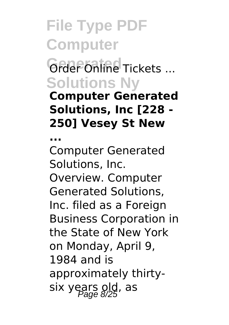**Grder Online Tickets ... Solutions Ny**

**Computer Generated Solutions, Inc [228 - 250] Vesey St New**

**...**

Computer Generated Solutions, Inc. Overview. Computer Generated Solutions, Inc. filed as a Foreign Business Corporation in the State of New York on Monday, April 9, 1984 and is approximately thirtysix years old, as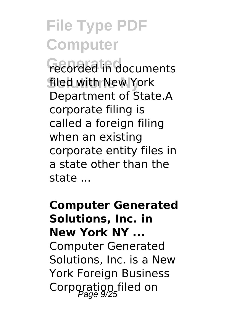**Fecorded** in documents filed with New York Department of State.A corporate filing is called a foreign filing when an existing corporate entity files in a state other than the state ...

**Computer Generated Solutions, Inc. in New York NY ...** Computer Generated Solutions, Inc. is a New York Foreign Business Corporation filed on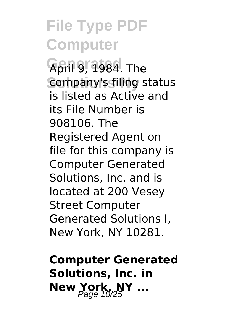**April 9, 1984. The** Company's filing status is listed as Active and its File Number is 908106. The Registered Agent on file for this company is Computer Generated Solutions, Inc. and is located at 200 Vesey Street Computer Generated Solutions I, New York, NY 10281.

**Computer Generated Solutions, Inc. in New York, NY ...**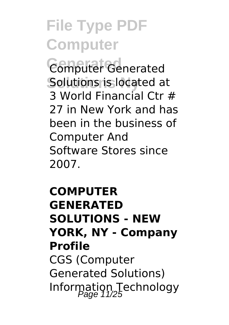**Generated** Computer Generated Solutions is located at 3 World Financial Ctr # 27 in New York and has been in the business of Computer And Software Stores since 2007.

### **COMPUTER GENERATED SOLUTIONS - NEW YORK, NY - Company Profile** CGS (Computer Generated Solutions) Information Technology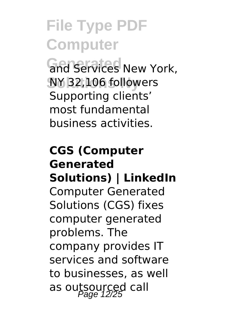and Services New York, **Solutions Ny** NY 32,106 followers Supporting clients' most fundamental business activities.

### **CGS (Computer Generated Solutions) | LinkedIn** Computer Generated Solutions (CGS) fixes computer generated problems. The company provides IT services and software to businesses, as well as outsourced call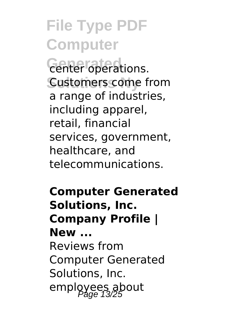**Center operations. Customers come from** a range of industries, including apparel, retail, financial services, government, healthcare, and telecommunications.

**Computer Generated Solutions, Inc. Company Profile | New ...** Reviews from Computer Generated Solutions, Inc. employees about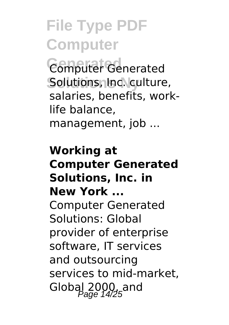**Generated** Computer Generated Solutions, Inc. culture, salaries, benefits, worklife balance, management, job ...

**Working at Computer Generated Solutions, Inc. in New York ...** Computer Generated Solutions: Global provider of enterprise software, IT services and outsourcing services to mid-market, Global  $2000$ , and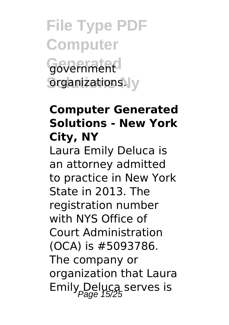**File Type PDF Computer Generated** government **Solutions** organizations.

#### **Computer Generated Solutions - New York City, NY**

Laura Emily Deluca is an attorney admitted to practice in New York State in 2013. The registration number with NYS Office of Court Administration (OCA) is #5093786. The company or organization that Laura Emily Deluca serves is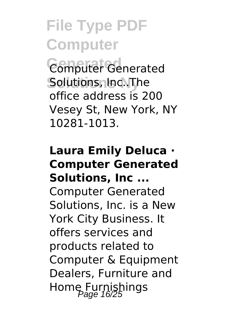**Generated** Computer Generated Solutions, Inc..The office address is 200 Vesey St, New York, NY 10281-1013.

#### **Laura Emily Deluca · Computer Generated Solutions, Inc ...**

Computer Generated Solutions, Inc. is a New York City Business. It offers services and products related to Computer & Equipment Dealers, Furniture and Home Furnishings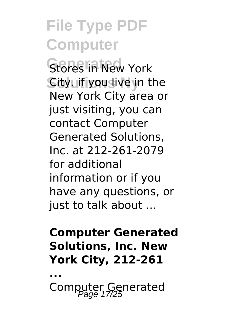**Stores in New York City. if you live in the** New York City area or just visiting, you can contact Computer Generated Solutions, Inc. at 212-261-2079 for additional information or if you have any questions, or just to talk about ...

#### **Computer Generated Solutions, Inc. New York City, 212-261**

**...**

Computer Generated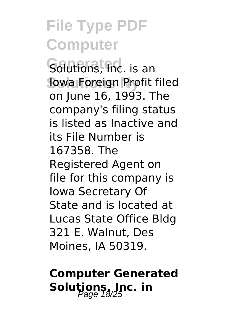*Golutions*, *Inc.* is an **Iowa Foreign Profit filed** on June 16, 1993. The company's filing status is listed as Inactive and its File Number is 167358. The Registered Agent on file for this company is Iowa Secretary Of State and is located at Lucas State Office Bldg 321 E. Walnut, Des Moines, IA 50319.

### **Computer Generated** Solutions, Inc. in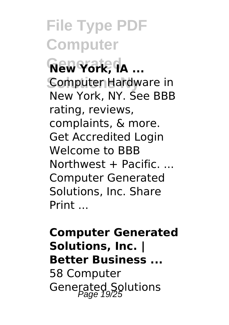$\overline{\text{New York}}$ ,  $\overline{\text{IA}}$  ... Computer Hardware in New York, NY. See BBB rating, reviews, complaints, & more. Get Accredited Login Welcome to BBB  $Northwest + Pacific$ Computer Generated Solutions, Inc. Share Print ...

### **Computer Generated Solutions, Inc. | Better Business ...** 58 Computer

Generated Solutions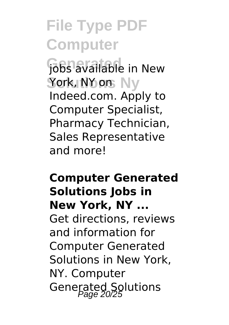**Gobs available** in New **Solutions Ny** York, NY on Indeed.com. Apply to Computer Specialist, Pharmacy Technician, Sales Representative and more!

### **Computer Generated Solutions Jobs in New York, NY ...** Get directions, reviews and information for Computer Generated Solutions in New York, NY. Computer Generated Solutions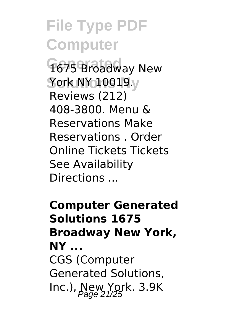1675 Broadway New **Solutions Ny** York NY 10019. Reviews (212) 408-3800. Menu & Reservations Make Reservations . Order Online Tickets Tickets See Availability Directions ...

**Computer Generated Solutions 1675 Broadway New York, NY ...** CGS (Computer Generated Solutions, Inc.), New York.  $3.9K$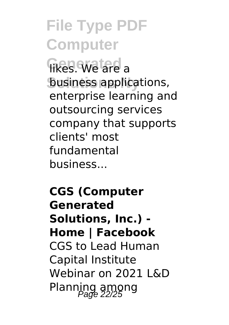**likes. We are a business applications,** enterprise learning and outsourcing services company that supports clients' most fundamental business...

**CGS (Computer Generated Solutions, Inc.) - Home | Facebook** CGS to Lead Human Capital Institute Webinar on 2021 L&D Planning among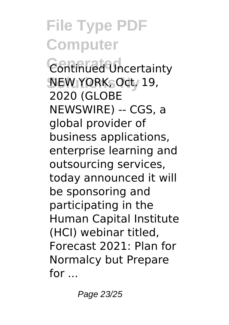**Continued Uncertainty Solutions Ny** NEW YORK, Oct. 19, 2020 (GLOBE NEWSWIRE) -- CGS, a global provider of business applications, enterprise learning and outsourcing services, today announced it will be sponsoring and participating in the Human Capital Institute (HCI) webinar titled, Forecast 2021: Plan for Normalcy but Prepare for ...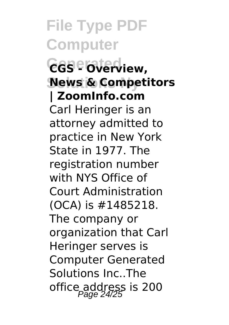$GGS$  <sup>overv</sup>iew, **News & Competitors | ZoomInfo.com** Carl Heringer is an attorney admitted to practice in New York State in 1977. The registration number with NYS Office of Court Administration (OCA) is #1485218. The company or organization that Carl Heringer serves is Computer Generated Solutions Inc..The office address is 200